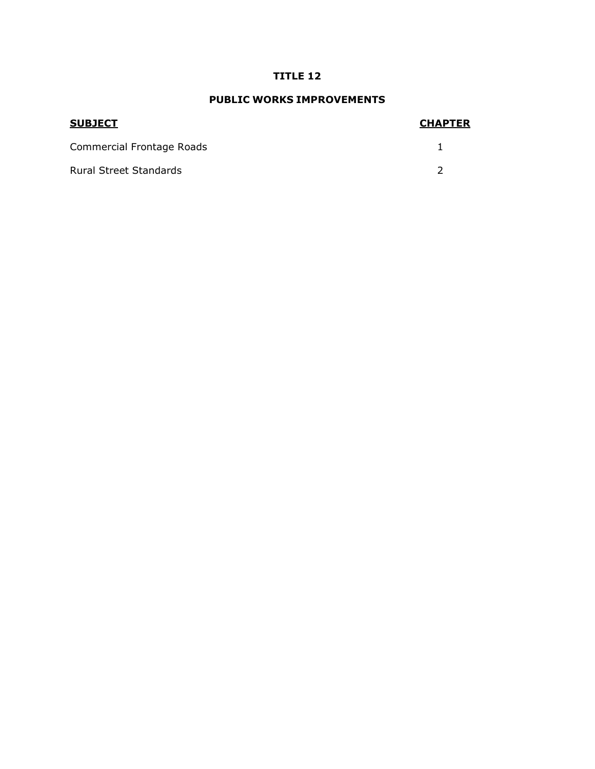## **TITLE 12**

## **PUBLIC WORKS IMPROVEMENTS**

| <b>SUBJECT</b>                | <b>CHAPTER</b> |
|-------------------------------|----------------|
| Commercial Frontage Roads     |                |
| <b>Rural Street Standards</b> |                |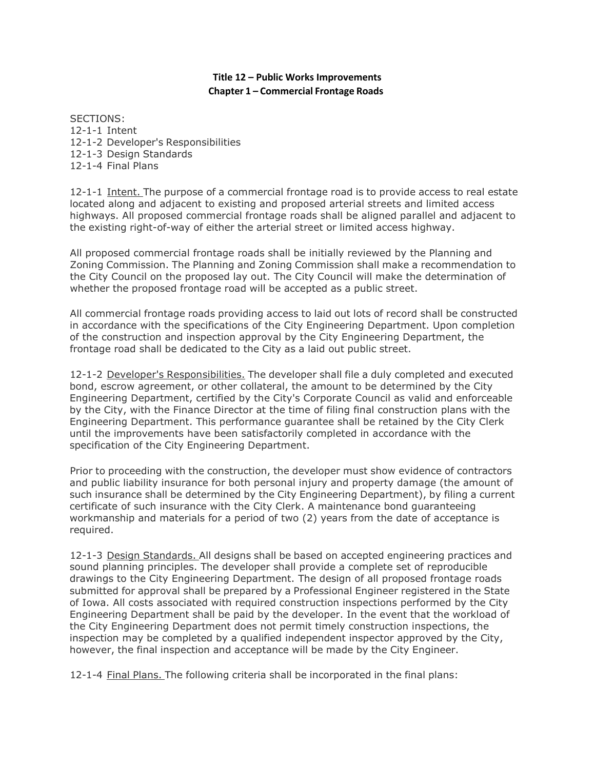## **Title 12 – Public Works Improvements Chapter 1 – Commercial Frontage Roads**

SECTIONS: 12-1-1 Intent 12-1-2 Developer's Responsibilities 12-1-3 Design Standards 12-1-4 Final Plans

12-1-1 Intent. The purpose of a commercial frontage road is to provide access to real estate located along and adjacent to existing and proposed arterial streets and limited access highways. All proposed commercial frontage roads shall be aligned parallel and adjacent to the existing right-of-way of either the arterial street or limited access highway.

All proposed commercial frontage roads shall be initially reviewed by the Planning and Zoning Commission. The Planning and Zoning Commission shall make a recommendation to the City Council on the proposed lay out. The City Council will make the determination of whether the proposed frontage road will be accepted as a public street.

All commercial frontage roads providing access to laid out lots of record shall be constructed in accordance with the specifications of the City Engineering Department. Upon completion of the construction and inspection approval by the City Engineering Department, the frontage road shall be dedicated to the City as a laid out public street.

12-1-2 Developer's Responsibilities. The developer shall file a duly completed and executed bond, escrow agreement, or other collateral, the amount to be determined by the City Engineering Department, certified by the City's Corporate Council as valid and enforceable by the City, with the Finance Director at the time of filing final construction plans with the Engineering Department. This performance guarantee shall be retained by the City Clerk until the improvements have been satisfactorily completed in accordance with the specification of the City Engineering Department.

Prior to proceeding with the construction, the developer must show evidence of contractors and public liability insurance for both personal injury and property damage (the amount of such insurance shall be determined by the City Engineering Department), by filing a current certificate of such insurance with the City Clerk. A maintenance bond guaranteeing workmanship and materials for a period of two (2) years from the date of acceptance is required.

12-1-3 Design Standards. All designs shall be based on accepted engineering practices and sound planning principles. The developer shall provide a complete set of reproducible drawings to the City Engineering Department. The design of all proposed frontage roads submitted for approval shall be prepared by a Professional Engineer registered in the State of Iowa. All costs associated with required construction inspections performed by the City Engineering Department shall be paid by the developer. In the event that the workload of the City Engineering Department does not permit timely construction inspections, the inspection may be completed by a qualified independent inspector approved by the City, however, the final inspection and acceptance will be made by the City Engineer.

12-1-4 Final Plans. The following criteria shall be incorporated in the final plans: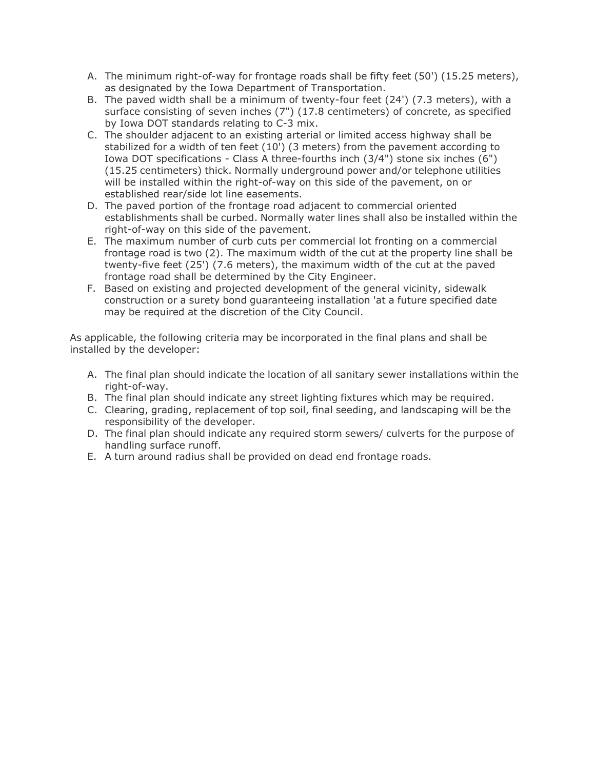- A. The minimum right-of-way for frontage roads shall be fifty feet (50') (15.25 meters), as designated by the Iowa Department of Transportation.
- B. The paved width shall be a minimum of twenty-four feet (24') (7.3 meters), with a surface consisting of seven inches (7") (17.8 centimeters) of concrete, as specified by Iowa DOT standards relating to C-3 mix.
- C. The shoulder adjacent to an existing arterial or limited access highway shall be stabilized for a width of ten feet (10') (3 meters) from the pavement according to Iowa DOT specifications - Class A three-fourths inch (3/4") stone six inches (6") (15.25 centimeters) thick. Normally underground power and/or telephone utilities will be installed within the right-of-way on this side of the pavement, on or established rear/side lot line easements.
- D. The paved portion of the frontage road adjacent to commercial oriented establishments shall be curbed. Normally water lines shall also be installed within the right-of-way on this side of the pavement.
- E. The maximum number of curb cuts per commercial lot fronting on a commercial frontage road is two (2). The maximum width of the cut at the property line shall be twenty-five feet (25') (7.6 meters), the maximum width of the cut at the paved frontage road shall be determined by the City Engineer.
- F. Based on existing and projected development of the general vicinity, sidewalk construction or a surety bond guaranteeing installation 'at a future specified date may be required at the discretion of the City Council.

As applicable, the following criteria may be incorporated in the final plans and shall be installed by the developer:

- A. The final plan should indicate the location of all sanitary sewer installations within the right-of-way.
- B. The final plan should indicate any street lighting fixtures which may be required.
- C. Clearing, grading, replacement of top soil, final seeding, and landscaping will be the responsibility of the developer.
- D. The final plan should indicate any required storm sewers/ culverts for the purpose of handling surface runoff.
- E. A turn around radius shall be provided on dead end frontage roads.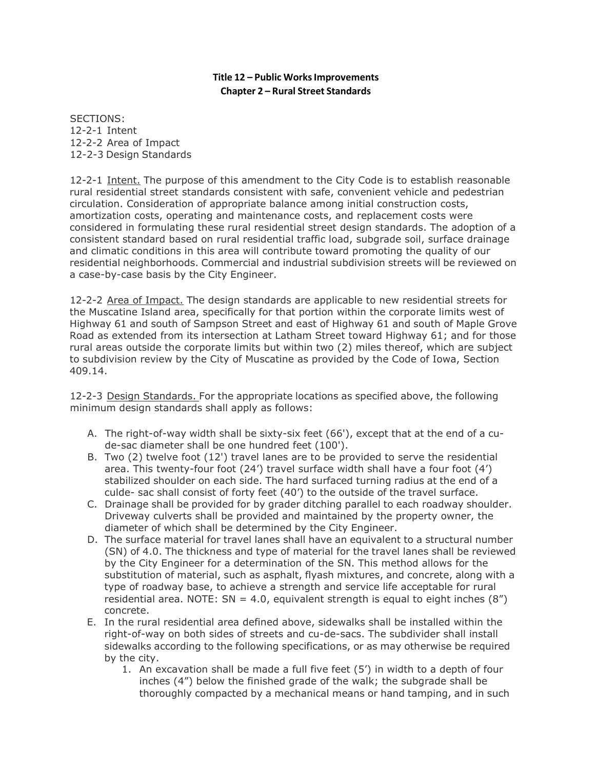## **Title 12 – Public WorksImprovements Chapter 2 – Rural Street Standards**

SECTIONS: 12-2-1 Intent 12-2-2 Area of Impact 12-2-3 Design Standards

12-2-1 Intent. The purpose of this amendment to the City Code is to establish reasonable rural residential street standards consistent with safe, convenient vehicle and pedestrian circulation. Consideration of appropriate balance among initial construction costs, amortization costs, operating and maintenance costs, and replacement costs were considered in formulating these rural residential street design standards. The adoption of a consistent standard based on rural residential traffic load, subgrade soil, surface drainage and climatic conditions in this area will contribute toward promoting the quality of our residential neighborhoods. Commercial and industrial subdivision streets will be reviewed on a case-by-case basis by the City Engineer.

12-2-2 Area of Impact. The design standards are applicable to new residential streets for the Muscatine Island area, specifically for that portion within the corporate limits west of Highway 61 and south of Sampson Street and east of Highway 61 and south of Maple Grove Road as extended from its intersection at Latham Street toward Highway 61; and for those rural areas outside the corporate limits but within two (2) miles thereof, which are subject to subdivision review by the City of Muscatine as provided by the Code of Iowa, Section 409.14.

12-2-3 Design Standards. For the appropriate locations as specified above, the following minimum design standards shall apply as follows:

- A. The right-of-way width shall be sixty-six feet (66'), except that at the end of a cude-sac diameter shall be one hundred feet (100').
- B. Two (2) twelve foot (12') travel lanes are to be provided to serve the residential area. This twenty-four foot (24') travel surface width shall have a four foot (4') stabilized shoulder on each side. The hard surfaced turning radius at the end of a culde- sac shall consist of forty feet (40') to the outside of the travel surface.
- C. Drainage shall be provided for by grader ditching parallel to each roadway shoulder. Driveway culverts shall be provided and maintained by the property owner, the diameter of which shall be determined by the City Engineer.
- D. The surface material for travel lanes shall have an equivalent to a structural number (SN) of 4.0. The thickness and type of material for the travel lanes shall be reviewed by the City Engineer for a determination of the SN. This method allows for the substitution of material, such as asphalt, flyash mixtures, and concrete, along with a type of roadway base, to achieve a strength and service life acceptable for rural residential area. NOTE:  $SN = 4.0$ , equivalent strength is equal to eight inches (8") concrete.
- E. In the rural residential area defined above, sidewalks shall be installed within the right-of-way on both sides of streets and cu-de-sacs. The subdivider shall install sidewalks according to the following specifications, or as may otherwise be required by the city.
	- 1. An excavation shall be made a full five feet (5') in width to a depth of four inches (4") below the finished grade of the walk; the subgrade shall be thoroughly compacted by a mechanical means or hand tamping, and in such